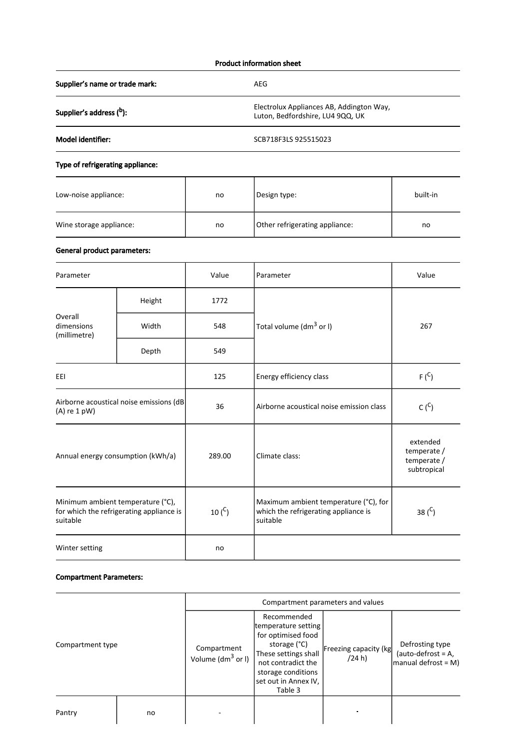### Product information sheet

Supplier's name or trade mark: AEG

Supplier's address (b):

Electrolux Appliances AB, Addington Way,

Luton, Bedfordshire, LU4 9QQ, UK

Model identifier: SCB718F3LS 925515023

# Type of refrigerating appliance:

| Low-noise appliance:    | no | Design type:                   | built-in |
|-------------------------|----|--------------------------------|----------|
| Wine storage appliance: | no | Other refrigerating appliance: | no       |

## General product parameters:

| Parameter                                                                                 |        | Value       | Parameter                                                                                 | Value     |
|-------------------------------------------------------------------------------------------|--------|-------------|-------------------------------------------------------------------------------------------|-----------|
| Overall<br>dimensions<br>(millimetre)                                                     | Height | 1772        |                                                                                           | 267       |
|                                                                                           | Width  | 548         | Total volume (dm <sup>3</sup> or I)                                                       |           |
|                                                                                           | Depth  | 549         |                                                                                           |           |
| EEI                                                                                       |        | 125         | Energy efficiency class                                                                   | $F(^{C})$ |
| Airborne acoustical noise emissions (dB<br>$(A)$ re 1 pW)                                 |        | 36          | $C(^{C})$<br>Airborne acoustical noise emission class                                     |           |
| Annual energy consumption (kWh/a)                                                         |        | 289.00      | extended<br>temperate /<br>Climate class:<br>temperate /<br>subtropical                   |           |
| Minimum ambient temperature (°C),<br>for which the refrigerating appliance is<br>suitable |        | 10 $(^{C})$ | Maximum ambient temperature (°C), for<br>which the refrigerating appliance is<br>suitable | 38 $(C)$  |
| Winter setting                                                                            |        | no          |                                                                                           |           |

### Compartment Parameters:

|                  |    | Compartment parameters and values    |                                                                                                                                                                                 |                                 |                                                                 |
|------------------|----|--------------------------------------|---------------------------------------------------------------------------------------------------------------------------------------------------------------------------------|---------------------------------|-----------------------------------------------------------------|
| Compartment type |    | Compartment<br>Volume ( $dm^3$ or I) | Recommended<br>temperature setting<br>for optimised food<br>storage (°C)<br>These settings shall<br>not contradict the<br>storage conditions<br>set out in Annex IV,<br>Table 3 | Freezing capacity (kg<br>(24 h) | Defrosting type<br>(auto-defrost = $A$ ,<br>manual defrost = M) |
| Pantry           | no |                                      |                                                                                                                                                                                 |                                 |                                                                 |